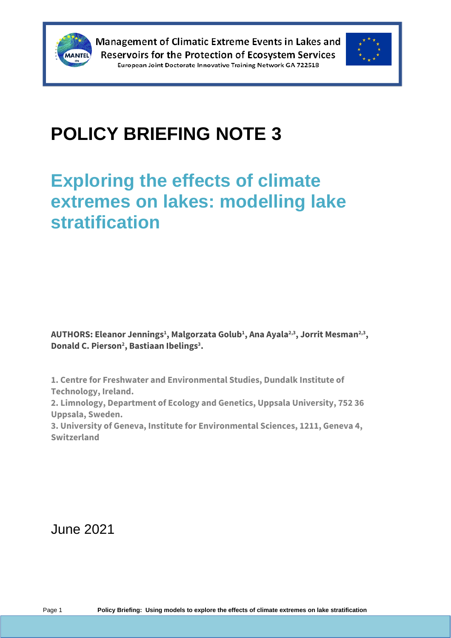



# **POLICY BRIEFING NOTE 3**

## **Exploring the effects of climate extremes on lakes: modelling lake stratification**

 $\mathsf{AUTHORS:}$  Eleanor Jennings $^1$ , Malgorzata Golub $^1$ , Ana Ayala $^{2,3}$ , Jorrit Mesman $^{2,3}$ , **Donald C. Pierson<sup>2</sup> , Bastiaan Ibelings<sup>3</sup> .**

**1. Centre for Freshwater and Environmental Studies, Dundalk Institute of Technology, Ireland.**

**2. Limnology, Department of Ecology and Genetics, Uppsala University, 752 36 Uppsala, Sweden.**

**3. University of Geneva, Institute for Environmental Sciences, 1211, Geneva 4, Switzerland**

June 2021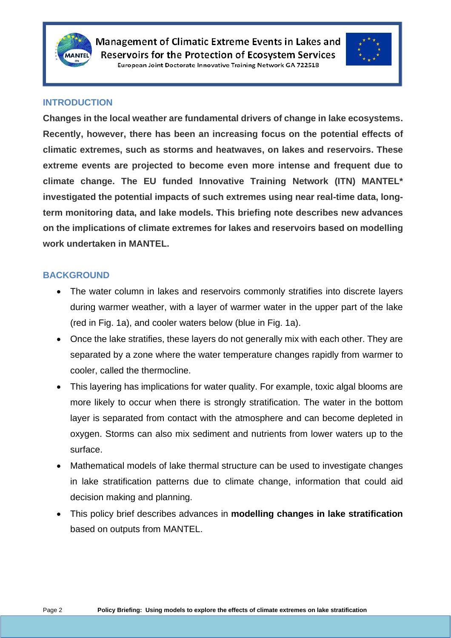



#### **INTRODUCTION**

**Changes in the local weather are fundamental drivers of change in lake ecosystems. Recently, however, there has been an increasing focus on the potential effects of climatic extremes, such as storms and heatwaves, on lakes and reservoirs. These extreme events are projected to become even more intense and frequent due to climate change. The EU funded Innovative Training Network (ITN) MANTEL\* investigated the potential impacts of such extremes using near real-time data, longterm monitoring data, and lake models. This briefing note describes new advances on the implications of climate extremes for lakes and reservoirs based on modelling work undertaken in MANTEL.**

#### **BACKGROUND**

- The water column in lakes and reservoirs commonly stratifies into discrete layers during warmer weather, with a layer of warmer water in the upper part of the lake (red in Fig. 1a), and cooler waters below (blue in Fig. 1a).
- Once the lake stratifies, these layers do not generally mix with each other. They are separated by a zone where the water temperature changes rapidly from warmer to cooler, called the thermocline.
- This layering has implications for water quality. For example, toxic algal blooms are more likely to occur when there is strongly stratification. The water in the bottom layer is separated from contact with the atmosphere and can become depleted in oxygen. Storms can also mix sediment and nutrients from lower waters up to the surface.
- Mathematical models of lake thermal structure can be used to investigate changes in lake stratification patterns due to climate change, information that could aid decision making and planning.
- This policy brief describes advances in **modelling changes in lake stratification** based on outputs from MANTEL.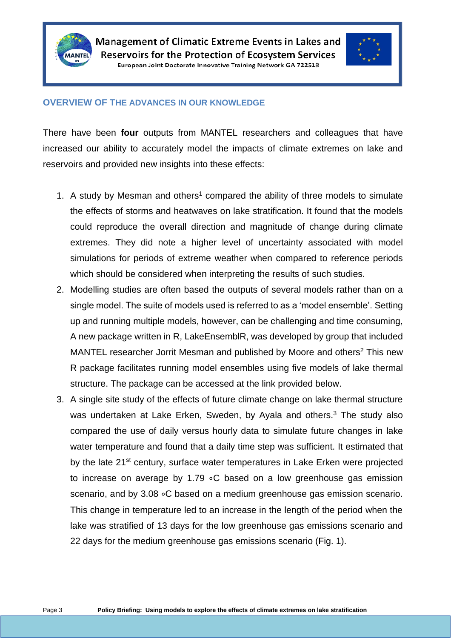



#### **OVERVIEW OF THE ADVANCES IN OUR KNOWLEDGE**

There have been **four** outputs from MANTEL researchers and colleagues that have increased our ability to accurately model the impacts of climate extremes on lake and reservoirs and provided new insights into these effects:

- 1. A study by Mesman and others<sup>1</sup> compared the ability of three models to simulate the effects of storms and heatwaves on lake stratification. It found that the models could reproduce the overall direction and magnitude of change during climate extremes. They did note a higher level of uncertainty associated with model simulations for periods of extreme weather when compared to reference periods which should be considered when interpreting the results of such studies.
- 2. Modelling studies are often based the outputs of several models rather than on a single model. The suite of models used is referred to as a 'model ensemble'. Setting up and running multiple models, however, can be challenging and time consuming, A new package written in R, LakeEnsemblR, was developed by group that included MANTEL researcher Jorrit Mesman and published by Moore and others<sup>2</sup> This new R package facilitates running model ensembles using five models of lake thermal structure. The package can be accessed at the link provided below.
- 3. A single site study of the effects of future climate change on lake thermal structure was undertaken at Lake Erken, Sweden, by Ayala and others.<sup>3</sup> The study also compared the use of daily versus hourly data to simulate future changes in lake water temperature and found that a daily time step was sufficient. It estimated that by the late 21<sup>st</sup> century, surface water temperatures in Lake Erken were projected to increase on average by 1.79 ∘C based on a low greenhouse gas emission scenario, and by 3.08 ∘C based on a medium greenhouse gas emission scenario. This change in temperature led to an increase in the length of the period when the lake was stratified of 13 days for the low greenhouse gas emissions scenario and 22 days for the medium greenhouse gas emissions scenario (Fig. 1).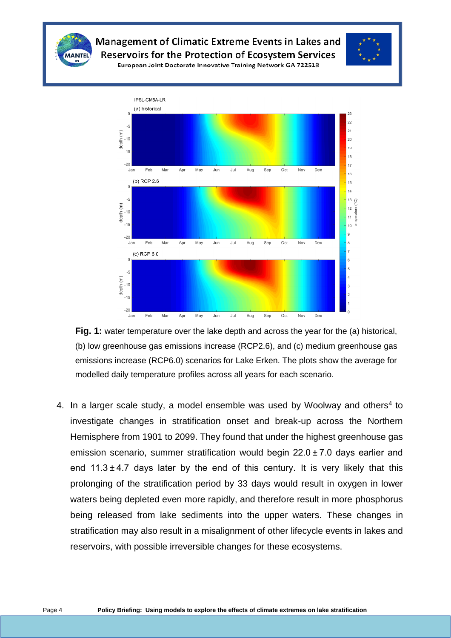

Management of Climatic Extreme Events in Lakes and **Reservoirs for the Protection of Ecosystem Services** 



European Joint Doctorate Innovative Training Network GA 722518



**Fig. 1:** water temperature over the lake depth and across the year for the (a) historical, (b) low greenhouse gas emissions increase (RCP2.6), and (c) medium greenhouse gas emissions increase (RCP6.0) scenarios for Lake Erken. The plots show the average for modelled daily temperature profiles across all years for each scenario.

4. In a larger scale study, a model ensemble was used by Woolway and others<sup>4</sup> to investigate changes in stratification onset and break-up across the Northern Hemisphere from 1901 to 2099. They found that under the highest greenhouse gas emission scenario, summer stratification would begin 22.0 ± 7.0 days earlier and end  $11.3 \pm 4.7$  days later by the end of this century. It is very likely that this prolonging of the stratification period by 33 days would result in oxygen in lower waters being depleted even more rapidly, and therefore result in more phosphorus being released from lake sediments into the upper waters. These changes in stratification may also result in a misalignment of other lifecycle events in lakes and reservoirs, with possible irreversible changes for these ecosystems.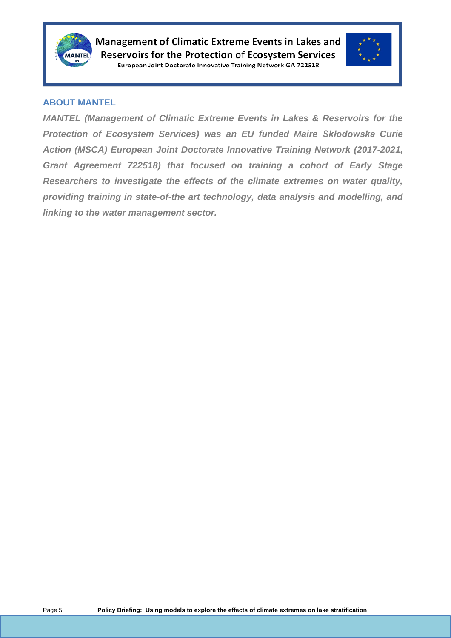



#### **ABOUT MANTEL**

*MANTEL (Management of Climatic Extreme Events in Lakes & Reservoirs for the Protection of Ecosystem Services) was an EU funded Maire Skłodowska Curie Action (MSCA) European Joint Doctorate Innovative Training Network (2017-2021, Grant Agreement 722518) that focused on training a cohort of Early Stage Researchers to investigate the effects of the climate extremes on water quality, providing training in state-of-the art technology, data analysis and modelling, and linking to the water management sector.*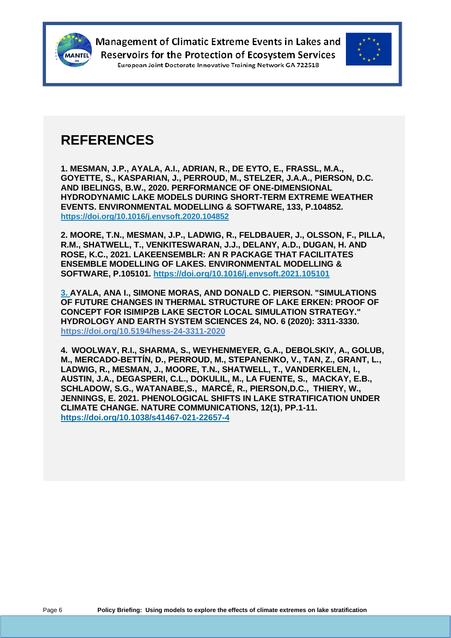



### **REFERENCES**

**1. MESMAN, J.P., AYALA, A.I., ADRIAN, R., DE EYTO, E., FRASSL, M.A., GOYETTE, S., KASPARIAN, J., PERROUD, M., STELZER, J.A.A., PIERSON, D.C. AND IBELINGS, B.W., 2020. PERFORMANCE OF ONE-DIMENSIONAL HYDRODYNAMIC LAKE MODELS DURING SHORT-TERM EXTREME WEATHER EVENTS. ENVIRONMENTAL MODELLING & SOFTWARE, 133, P.104852. <https://doi.org/10.1016/j.envsoft.2020.104852>**

**2. MOORE, T.N., MESMAN, J.P., LADWIG, R., FELDBAUER, J., OLSSON, F., PILLA, R.M., SHATWELL, T., VENKITESWARAN, J.J., DELANY, A.D., DUGAN, H. AND ROSE, K.C., 2021. LAKEENSEMBLR: AN R PACKAGE THAT FACILITATES ENSEMBLE MODELLING OF LAKES. ENVIRONMENTAL MODELLING & SOFTWARE, P.105101. <https://doi.org/10.1016/j.envsoft.2021.105101>**

**3. AYALA, ANA I., SIMONE MORAS, AND DONALD C. PIERSON. "SIMULATIONS OF FUTURE CHANGES IN THERMAL STRUCTURE OF LAKE ERKEN: PROOF OF CONCEPT FOR ISIMIP2B LAKE SECTOR LOCAL SIMULATION STRATEGY." HYDROLOGY AND EARTH SYSTEM SCIENCES 24, NO. 6 (2020): 3311-3330. <https://doi.org/10.5194/hess-24-3311-2020>**

**4. WOOLWAY, R.I., SHARMA, S., WEYHENMEYER, G.A., DEBOLSKIY, A., GOLUB, M., MERCADO-BETTÍN, D., PERROUD, M., STEPANENKO, V., TAN, Z., GRANT, L., LADWIG, R., MESMAN, J., MOORE, T.N., SHATWELL, T., VANDERKELEN, I., AUSTIN, J.A., DEGASPERI, C.L., DOKULIL, M., LA FUENTE, S., MACKAY, E.B., SCHLADOW, S.G., WATANABE,S., MARCÉ, R., PIERSON,D.C., THIERY, W., JENNINGS, E. 2021. PHENOLOGICAL SHIFTS IN LAKE STRATIFICATION UNDER CLIMATE CHANGE. NATURE COMMUNICATIONS, 12(1), PP.1-11. <https://doi.org/10.1038/s41467-021-22657-4>**